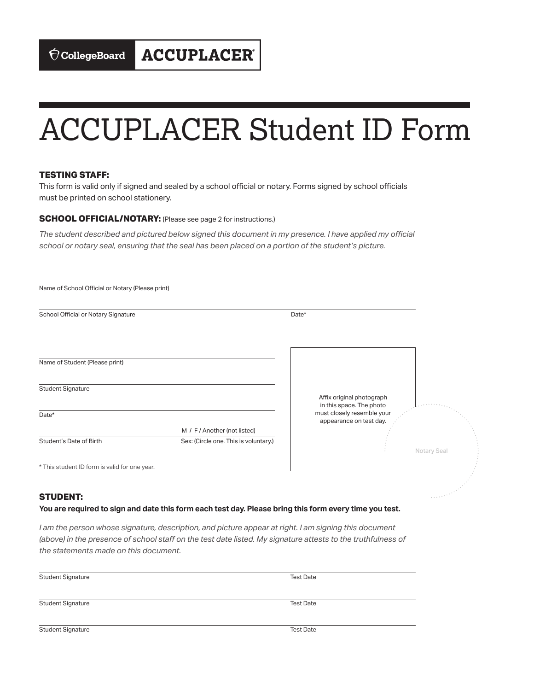# ACCUPLACER Student ID Form

### **TESTING STAFF:**

This form is valid only if signed and sealed by a school official or notary. Forms signed by school officials must be printed on school stationery.

### **SCHOOL OFFICIAL/NOTARY:** (Please see page 2 for instructions.)

*The student described and pictured below signed this document in my presence. I have applied my official school or notary seal, ensuring that the seal has been placed on a portion of the student's picture.* 

| Name of School Official or Notary (Please print) |                                       |                                                                                   |             |
|--------------------------------------------------|---------------------------------------|-----------------------------------------------------------------------------------|-------------|
| School Official or Notary Signature              |                                       | Date*                                                                             |             |
|                                                  |                                       |                                                                                   |             |
| Name of Student (Please print)                   |                                       |                                                                                   |             |
| <b>Student Signature</b>                         |                                       | Affix original photograph                                                         |             |
| Date*                                            |                                       | in this space. The photo<br>must closely resemble your<br>appearance on test day. |             |
|                                                  | M / F / Another (not listed)          |                                                                                   |             |
| Student's Date of Birth                          | Sex: (Circle one. This is voluntary.) |                                                                                   | Notary Seal |
| * This student ID form is valid for one year.    |                                       |                                                                                   |             |
| <b>STUDENT:</b>                                  |                                       |                                                                                   |             |

#### **You are required to sign and date this form each test day. Please bring this form every time you test.**

*I am the person whose signature, description, and picture appear at right. I am signing this document (above) in the presence of school staff on the test date listed. My signature attests to the truthfulness of the statements made on this document.* 

| <b>Student Signature</b> | <b>Test Date</b> |
|--------------------------|------------------|
|                          |                  |
| <b>Student Signature</b> | <b>Test Date</b> |
| <b>Student Signature</b> | <b>Test Date</b> |